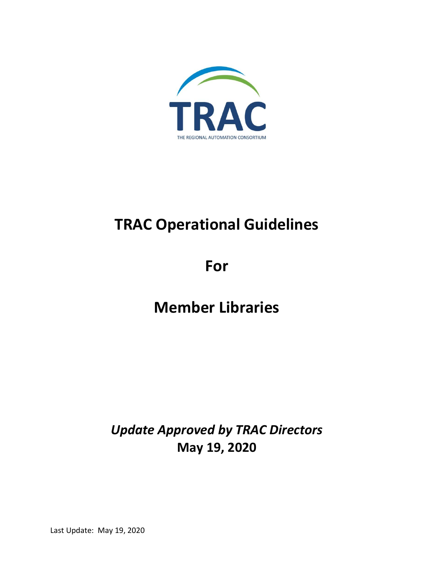

# **TRAC Operational Guidelines**

**For**

## **Member Libraries**

*Update Approved by TRAC Directors* **May 19, 2020**

Last Update: May 19, 2020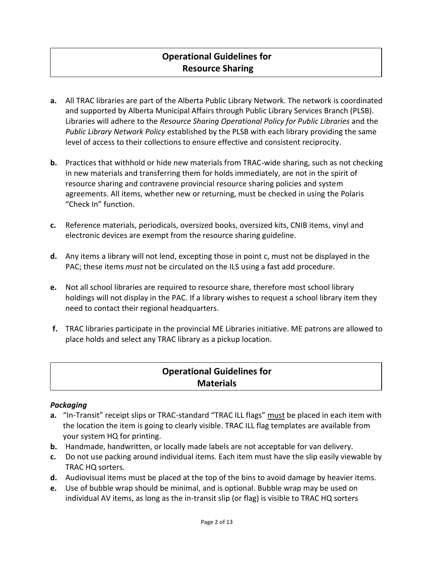### **Operational Guidelines for Resource Sharing**

- **a.** All TRAC libraries are part of the Alberta Public Library Network. The network is coordinated and supported by Alberta Municipal Affairs through Public Library Services Branch (PLSB). Libraries will adhere to the *Resource Sharing Operational Policy for Public Libraries* and the *Public Library Network Policy* established by the PLSB with each library providing the same level of access to their collections to ensure effective and consistent reciprocity.
- **b.** Practices that withhold or hide new materials from TRAC-wide sharing, such as not checking in new materials and transferring them for holds immediately, are not in the spirit of resource sharing and contravene provincial resource sharing policies and system agreements. All items, whether new or returning, must be checked in using the Polaris "Check In" function.
- **c.** Reference materials, periodicals, oversized books, oversized kits, CNIB items, vinyl and electronic devices are exempt from the resource sharing guideline.
- **d.** Any items a library will not lend, excepting those in point c, must not be displayed in the PAC; these items *must* not be circulated on the ILS using a fast add procedure.
- **e.** Not all school libraries are required to resource share, therefore most school library holdings will not display in the PAC. If a library wishes to request a school library item they need to contact their regional headquarters.
- **f.** TRAC libraries participate in the provincial ME Libraries initiative. ME patrons are allowed to place holds and select any TRAC library as a pickup location.

### **Operational Guidelines for Materials**

### *Packaging*

- **a.** "In-Transit" receipt slips or TRAC-standard "TRAC ILL flags" must be placed in each item with the location the item is going to clearly visible. TRAC ILL flag templates are available from your system HQ for printing.
- **b.** Handmade, handwritten, or locally made labels are not acceptable for van delivery.
- **c.** Do not use packing around individual items. Each item must have the slip easily viewable by TRAC HQ sorters.
- **d.** Audiovisual items must be placed at the top of the bins to avoid damage by heavier items.
- **e.** Use of bubble wrap should be minimal, and is optional. Bubble wrap may be used on individual AV items, as long as the in-transit slip (or flag) is visible to TRAC HQ sorters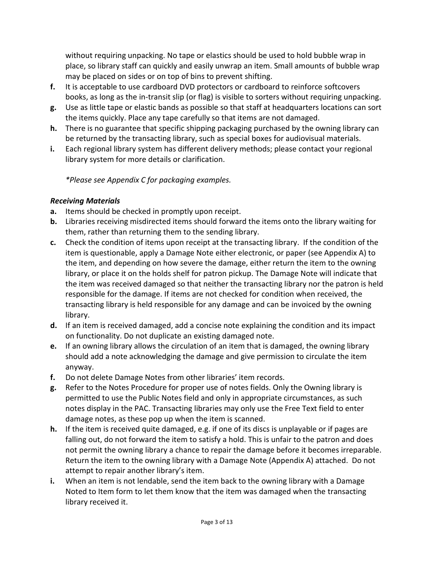without requiring unpacking. No tape or elastics should be used to hold bubble wrap in place, so library staff can quickly and easily unwrap an item. Small amounts of bubble wrap may be placed on sides or on top of bins to prevent shifting.

- **f.** It is acceptable to use cardboard DVD protectors or cardboard to reinforce softcovers books, as long as the in-transit slip (or flag) is visible to sorters without requiring unpacking.
- **g.** Use as little tape or elastic bands as possible so that staff at headquarters locations can sort the items quickly. Place any tape carefully so that items are not damaged.
- **h.** There is no guarantee that specific shipping packaging purchased by the owning library can be returned by the transacting library, such as special boxes for audiovisual materials.
- **i.** Each regional library system has different delivery methods; please contact your regional library system for more details or clarification.

*\*Please see Appendix C for packaging examples.*

### *Receiving Materials*

- **a.** Items should be checked in promptly upon receipt.
- **b.** Libraries receiving misdirected items should forward the items onto the library waiting for them, rather than returning them to the sending library.
- **c.** Check the condition of items upon receipt at the transacting library. If the condition of the item is questionable, apply a Damage Note either electronic, or paper (see Appendix A) to the item, and depending on how severe the damage, either return the item to the owning library, or place it on the holds shelf for patron pickup. The Damage Note will indicate that the item was received damaged so that neither the transacting library nor the patron is held responsible for the damage. If items are not checked for condition when received, the transacting library is held responsible for any damage and can be invoiced by the owning library.
- **d.** If an item is received damaged, add a concise note explaining the condition and its impact on functionality. Do not duplicate an existing damaged note.
- **e.** If an owning library allows the circulation of an item that is damaged, the owning library should add a note acknowledging the damage and give permission to circulate the item anyway.
- **f.** Do not delete Damage Notes from other libraries' item records.
- **g.** Refer to the Notes Procedure for proper use of notes fields. Only the Owning library is permitted to use the Public Notes field and only in appropriate circumstances, as such notes display in the PAC. Transacting libraries may only use the Free Text field to enter damage notes, as these pop up when the item is scanned.
- **h.** If the item is received quite damaged, e.g. if one of its discs is unplayable or if pages are falling out, do not forward the item to satisfy a hold. This is unfair to the patron and does not permit the owning library a chance to repair the damage before it becomes irreparable. Return the item to the owning library with a Damage Note (Appendix A) attached. Do not attempt to repair another library's item.
- **i.** When an item is not lendable, send the item back to the owning library with a Damage Noted to Item form to let them know that the item was damaged when the transacting library received it.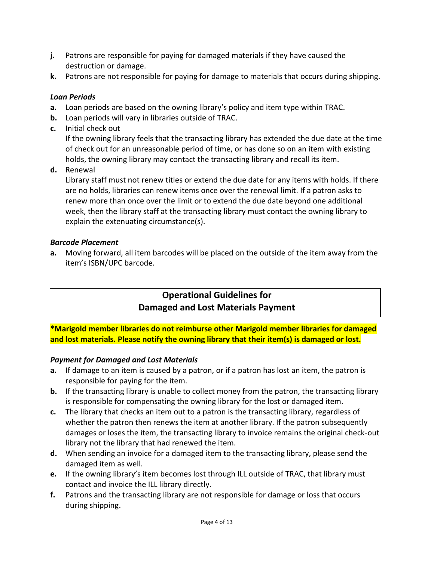- **j.** Patrons are responsible for paying for damaged materials if they have caused the destruction or damage.
- **k.** Patrons are not responsible for paying for damage to materials that occurs during shipping.

### *Loan Periods*

- **a.** Loan periods are based on the owning library's policy and item type within TRAC.
- **b.** Loan periods will vary in libraries outside of TRAC.
- **c.** Initial check out

If the owning library feels that the transacting library has extended the due date at the time of check out for an unreasonable period of time, or has done so on an item with existing holds, the owning library may contact the transacting library and recall its item.

**d.** Renewal

Library staff must not renew titles or extend the due date for any items with holds. If there are no holds, libraries can renew items once over the renewal limit. If a patron asks to renew more than once over the limit or to extend the due date beyond one additional week, then the library staff at the transacting library must contact the owning library to explain the extenuating circumstance(s).

### *Barcode Placement*

**a.** Moving forward, all item barcodes will be placed on the outside of the item away from the item's ISBN/UPC barcode.

### **Operational Guidelines for Damaged and Lost Materials Payment**

**\*Marigold member libraries do not reimburse other Marigold member libraries for damaged and lost materials. Please notify the owning library that their item(s) is damaged or lost.**

### *Payment for Damaged and Lost Materials*

- **a.** If damage to an item is caused by a patron, or if a patron has lost an item, the patron is responsible for paying for the item.
- **b.** If the transacting library is unable to collect money from the patron, the transacting library is responsible for compensating the owning library for the lost or damaged item.
- **c.** The library that checks an item out to a patron is the transacting library, regardless of whether the patron then renews the item at another library. If the patron subsequently damages or loses the item, the transacting library to invoice remains the original check-out library not the library that had renewed the item.
- **d.** When sending an invoice for a damaged item to the transacting library, please send the damaged item as well.
- **e.** If the owning library's item becomes lost through ILL outside of TRAC, that library must contact and invoice the ILL library directly.
- **f.** Patrons and the transacting library are not responsible for damage or loss that occurs during shipping.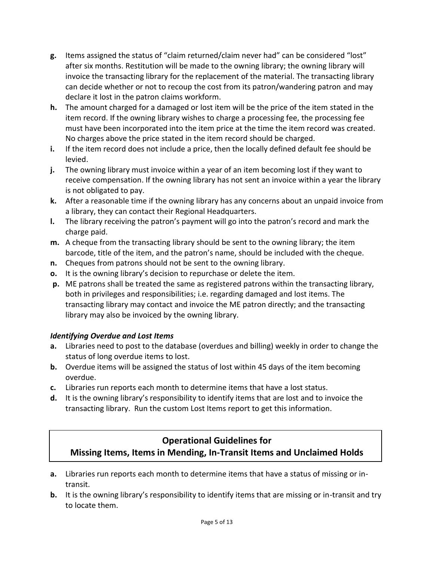- **g.** Items assigned the status of "claim returned/claim never had" can be considered "lost" after six months. Restitution will be made to the owning library; the owning library will invoice the transacting library for the replacement of the material. The transacting library can decide whether or not to recoup the cost from its patron/wandering patron and may declare it lost in the patron claims workform.
- **h.** The amount charged for a damaged or lost item will be the price of the item stated in the item record. If the owning library wishes to charge a processing fee, the processing fee must have been incorporated into the item price at the time the item record was created. No charges above the price stated in the item record should be charged.
- **i.** If the item record does not include a price, then the locally defined default fee should be levied.
- **j.** The owning library must invoice within a year of an item becoming lost if they want to receive compensation. If the owning library has not sent an invoice within a year the library is not obligated to pay.
- **k.** After a reasonable time if the owning library has any concerns about an unpaid invoice from a library, they can contact their Regional Headquarters.
- **l.** The library receiving the patron's payment will go into the patron's record and mark the charge paid.
- **m.** A cheque from the transacting library should be sent to the owning library; the item barcode, title of the item, and the patron's name, should be included with the cheque.
- **n.** Cheques from patrons should not be sent to the owning library.
- **o.** It is the owning library's decision to repurchase or delete the item.
- **p.** ME patrons shall be treated the same as registered patrons within the transacting library, both in privileges and responsibilities; i.e. regarding damaged and lost items. The transacting library may contact and invoice the ME patron directly; and the transacting library may also be invoiced by the owning library.

### *Identifying Overdue and Lost Items*

- **a.** Libraries need to post to the database (overdues and billing) weekly in order to change the status of long overdue items to lost.
- **b.** Overdue items will be assigned the status of lost within 45 days of the item becoming overdue.
- **c.** Libraries run reports each month to determine items that have a lost status.
- **d.** It is the owning library's responsibility to identify items that are lost and to invoice the transacting library. Run the custom Lost Items report to get this information.

## **Operational Guidelines for**

### **Missing Items, Items in Mending, In-Transit Items and Unclaimed Holds**

- **a.** Libraries run reports each month to determine items that have a status of missing or intransit.
- **b.** It is the owning library's responsibility to identify items that are missing or in-transit and try to locate them.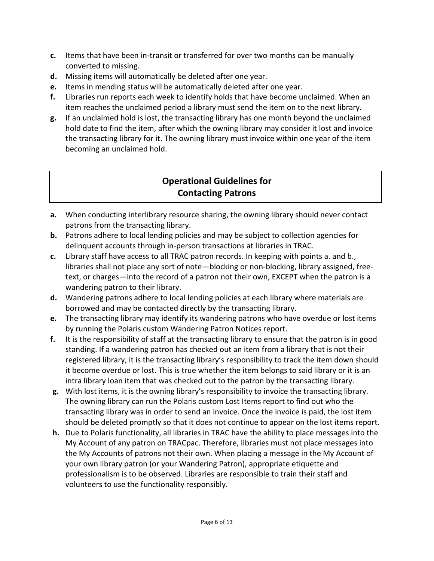- **c.** Items that have been in-transit or transferred for over two months can be manually converted to missing.
- **d.** Missing items will automatically be deleted after one year.
- **e.** Items in mending status will be automatically deleted after one year.
- **f.** Libraries run reports each week to identify holds that have become unclaimed. When an item reaches the unclaimed period a library must send the item on to the next library.
- **g.** If an unclaimed hold is lost, the transacting library has one month beyond the unclaimed hold date to find the item, after which the owning library may consider it lost and invoice the transacting library for it. The owning library must invoice within one year of the item becoming an unclaimed hold.

### **Operational Guidelines for Contacting Patrons**

- **a.** When conducting interlibrary resource sharing, the owning library should never contact patrons from the transacting library.
- **b.** Patrons adhere to local lending policies and may be subject to collection agencies for delinquent accounts through in-person transactions at libraries in TRAC.
- **c.** Library staff have access to all TRAC patron records. In keeping with points a. and b., libraries shall not place any sort of note—blocking or non-blocking, library assigned, freetext, or charges—into the record of a patron not their own, EXCEPT when the patron is a wandering patron to their library.
- **d.** Wandering patrons adhere to local lending policies at each library where materials are borrowed and may be contacted directly by the transacting library.
- **e.** The transacting library may identify its wandering patrons who have overdue or lost items by running the Polaris custom Wandering Patron Notices report.
- **f.** It is the responsibility of staff at the transacting library to ensure that the patron is in good standing. If a wandering patron has checked out an item from a library that is not their registered library, it is the transacting library's responsibility to track the item down should it become overdue or lost. This is true whether the item belongs to said library or it is an intra library loan item that was checked out to the patron by the transacting library.
- **g.** With lost items, it is the owning library's responsibility to invoice the transacting library. The owning library can run the Polaris custom Lost Items report to find out who the transacting library was in order to send an invoice. Once the invoice is paid, the lost item should be deleted promptly so that it does not continue to appear on the lost items report.
- **h.** Due to Polaris functionality, all libraries in TRAC have the ability to place messages into the My Account of any patron on TRACpac. Therefore, libraries must not place messages into the My Accounts of patrons not their own. When placing a message in the My Account of your own library patron (or your Wandering Patron), appropriate etiquette and professionalism is to be observed. Libraries are responsible to train their staff and volunteers to use the functionality responsibly.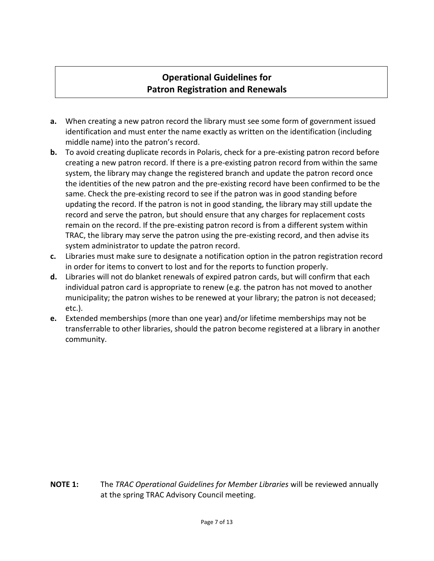### **Operational Guidelines for Patron Registration and Renewals**

- **a.** When creating a new patron record the library must see some form of government issued identification and must enter the name exactly as written on the identification (including middle name) into the patron's record.
- **b.** To avoid creating duplicate records in Polaris, check for a pre-existing patron record before creating a new patron record. If there is a pre-existing patron record from within the same system, the library may change the registered branch and update the patron record once the identities of the new patron and the pre-existing record have been confirmed to be the same. Check the pre-existing record to see if the patron was in good standing before updating the record. If the patron is not in good standing, the library may still update the record and serve the patron, but should ensure that any charges for replacement costs remain on the record. If the pre-existing patron record is from a different system within TRAC, the library may serve the patron using the pre-existing record, and then advise its system administrator to update the patron record.
- **c.** Libraries must make sure to designate a notification option in the patron registration record in order for items to convert to lost and for the reports to function properly.
- **d.** Libraries will not do blanket renewals of expired patron cards, but will confirm that each individual patron card is appropriate to renew (e.g. the patron has not moved to another municipality; the patron wishes to be renewed at your library; the patron is not deceased; etc.).
- **e.** Extended memberships (more than one year) and/or lifetime memberships may not be transferrable to other libraries, should the patron become registered at a library in another community.

**NOTE 1:** The *TRAC Operational Guidelines for Member Libraries* will be reviewed annually at the spring TRAC Advisory Council meeting.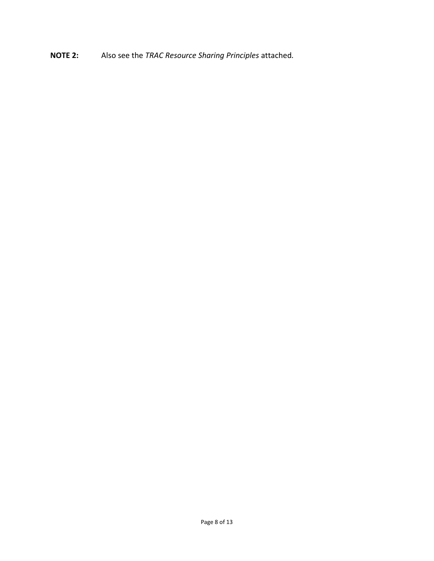**NOTE 2:** Also see the *TRAC Resource Sharing Principles* attached*.*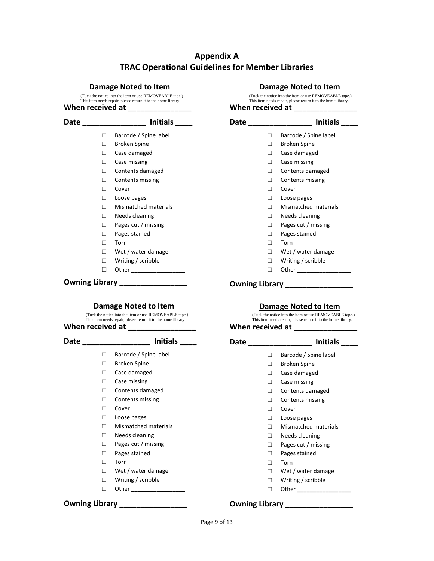### **Appendix A TRAC Operational Guidelines for Member Libraries**

#### **Damage Noted to Item**

When received at (Tuck the notice into the item or use REMOVEABLE tape.) This item needs repair, please return it to the home library.

#### **Date \_\_\_\_\_\_\_\_\_\_\_\_\_\_\_ Initials \_\_\_\_**  □ Barcode / Spine label □ Broken Spine □ Case damaged □ Case missing □ Contents damaged □ Contents missing □ Cover □ Loose pages □ Mismatched materials □ Needs cleaning □ Pages cut / missing □ Pages stained □ Torn □ Wet / water damage

- □ Writing / scribble
- □ Other \_\_\_\_\_\_\_\_\_\_\_\_\_\_\_\_\_\_\_\_

#### **Owning Library \_\_\_\_\_\_\_\_\_\_\_\_\_\_\_\_**

#### **Damage Noted to Item**

(Tuck the notice into the item or use REMOVEABLE tape.) This item needs repair, please return it to the home library.

#### **When received at**

#### Date **Date Initials**

- □ Barcode / Spine label
- □ Broken Spine
- □ Case damaged
- □ Case missing
- □ Contents damaged
- □ Contents missing
- □ Cover
- □ Loose pages
- □ Mismatched materials
- □ Needs cleaning
- □ Pages cut / missing
- □ Pages stained
- □ Torn
- □ Wet / water damage
- □ Writing / scribble
- □ Other \_\_\_\_\_\_\_\_\_\_\_\_\_\_\_\_\_

#### **Owning Library \_\_\_\_\_\_\_\_\_\_\_\_\_\_\_\_**

#### **Damage Noted to Item**

When received at (Tuck the notice into the item or use REMOVEABLE tape.) This item needs repair, please return it to the home library.

#### **Date \_\_\_\_\_\_\_\_\_\_\_\_\_\_\_ Initials \_\_\_\_** □ Barcode / Spine label □ Broken Spine □ Case damaged □ Case missing □ Contents damaged □ Contents missing □ Cover □ Loose pages □ Mismatched materials

- □ Needs cleaning
- □ Pages cut / missing
- □ Pages stained
	- □ Torn
	- □ Wet / water damage
	- □ Writing / scribble
	- □ Other \_\_\_\_\_\_\_\_\_\_\_\_\_\_\_\_\_

#### **Owning Library \_\_\_\_\_\_\_\_\_\_\_\_\_\_\_\_**

#### **Damage Noted to Item**

(Tuck the notice into the item or use REMOVEABLE tape.) This item needs repair, please return it to the home library.

#### When received at \_\_\_\_\_\_\_\_

| Date |   | <b>Initials</b>       |
|------|---|-----------------------|
|      | П | Barcode / Spine label |
|      | П | Broken Spine          |
|      | п | Case damaged          |
|      | п | Case missing          |
|      | п | Contents damaged      |
|      | п | Contents missing      |
|      | п | Cover                 |
|      | П | Loose pages           |
|      | п | Mismatched materials  |
|      | п | Needs cleaning        |
|      | П | Pages cut / missing   |
|      | п | Pages stained         |
|      | п | Torn                  |
|      | П | Wet / water damage    |
|      |   | Writing / scribble    |

□ Other \_\_\_\_\_\_\_\_\_\_\_\_\_\_\_\_\_

#### **Owning Library \_\_\_\_\_\_\_\_\_\_\_\_\_\_\_\_**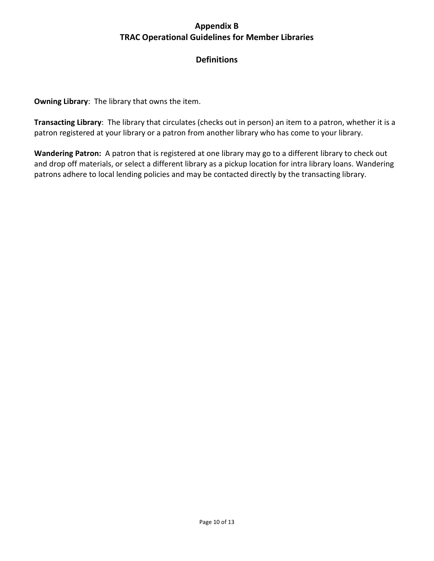### **Appendix B TRAC Operational Guidelines for Member Libraries**

### **Definitions**

**Owning Library**: The library that owns the item.

**Transacting Library**: The library that circulates (checks out in person) an item to a patron, whether it is a patron registered at your library or a patron from another library who has come to your library.

**Wandering Patron:** A patron that is registered at one library may go to a different library to check out and drop off materials, or select a different library as a pickup location for intra library loans. Wandering patrons adhere to local lending policies and may be contacted directly by the transacting library.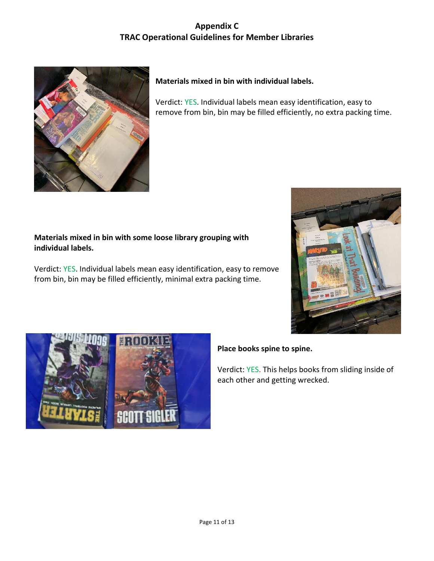### **Appendix C TRAC Operational Guidelines for Member Libraries**



### **Materials mixed in bin with individual labels.**

Verdict: YES. Individual labels mean easy identification, easy to remove from bin, bin may be filled efficiently, no extra packing time.

#### **Materials mixed in bin with some loose library grouping with individual labels.**

Verdict: YES. Individual labels mean easy identification, easy to remove from bin, bin may be filled efficiently, minimal extra packing time.





### **Place books spine to spine.**

Verdict: YES. This helps books from sliding inside of each other and getting wrecked.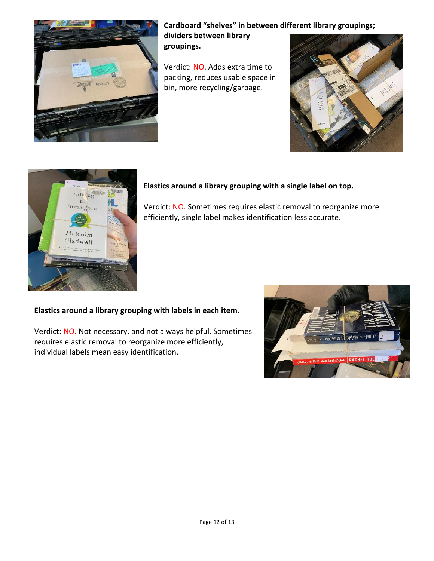

**Cardboard "shelves" in between different library groupings;** 

**dividers between library groupings.**

Verdict: NO. Adds extra time to packing, reduces usable space in bin, more recycling/garbage.





### **Elastics around a library grouping with a single label on top.**

Verdict: NO. Sometimes requires elastic removal to reorganize more efficiently, single label makes identification less accurate.

### **Elastics around a library grouping with labels in each item.**

Verdict: NO. Not necessary, and not always helpful. Sometimes requires elastic removal to reorganize more efficiently, individual labels mean easy identification.